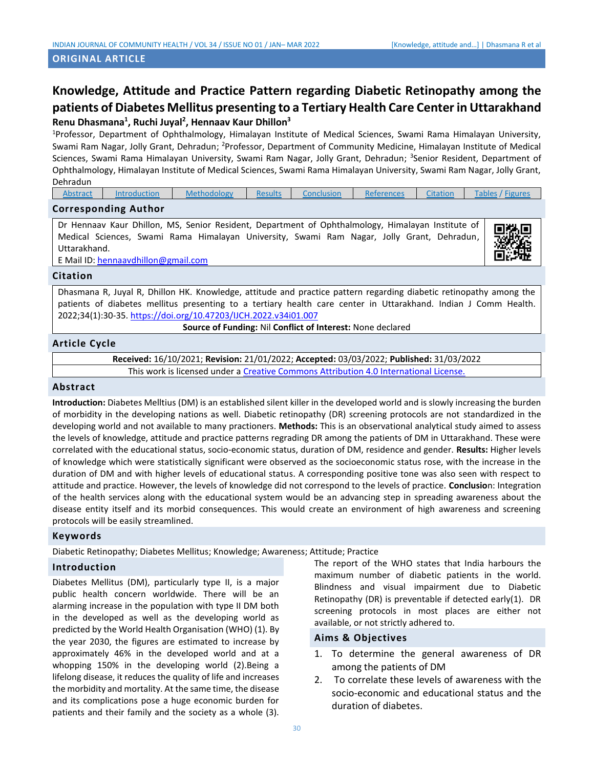# **ORIGINAL ARTICLE**

# **Knowledge, Attitude and Practice Pattern regarding Diabetic Retinopathy among the patients of Diabetes Mellitus presenting to a Tertiary Health Care Centerin Uttarakhand Renu Dhasmana<sup>1</sup> , Ruchi Juyal<sup>2</sup> , Hennaav Kaur Dhillon<sup>3</sup>**

<sup>1</sup>Professor, Department of Ophthalmology, Himalayan Institute of Medical Sciences, Swami Rama Himalayan University, Swami Ram Nagar, Jolly Grant, Dehradun; <sup>2</sup>Professor, Department of Community Medicine, Himalayan Institute of Medical Sciences, Swami Rama Himalayan University, Swami Ram Nagar, Jolly Grant, Dehradun; <sup>3</sup>Senior Resident, Department of Ophthalmology, Himalayan Institute of Medical Sciences, Swami Rama Himalayan University, Swami Ram Nagar, Jolly Grant, Dehradun

| <b>Abstract</b> | Introduction | Methodology | Results | Conclusion | References | <b>Citation</b> | Tables,<br><b>Higures</b> |
|-----------------|--------------|-------------|---------|------------|------------|-----------------|---------------------------|
|                 |              |             |         |            |            |                 |                           |

# **Corresponding Author**

<span id="page-0-0"></span>Dr Hennaav Kaur Dhillon, MS, Senior Resident, Department of Ophthalmology, Himalayan Institute of Medical Sciences, Swami Rama Himalayan University, Swami Ram Nagar, Jolly Grant, Dehradun, Uttarakhand.

E Mail ID[: hennaavdhillon@gmail.com](mailto:hennaavdhillon@gmail.com)

# **Citation**

Dhasmana R, Juyal R, Dhillon HK. Knowledge, attitude and practice pattern regarding diabetic retinopathy among the patients of diabetes mellitus presenting to a tertiary health care center in Uttarakhand. Indian J Comm Health. 2022;34(1):30-35. <https://doi.org/10.47203/IJCH.2022.v34i01.007>

**Source of Funding:** Nil **Conflict of Interest:** None declared

# **Article Cycle**

**Received:** 16/10/2021; **Revision:** 21/01/2022; **Accepted:** 03/03/2022; **Published:** 31/03/2022 This work is licensed under a [Creative Commons Attribution 4.0 International License.](http://creativecommons.org/licenses/by/4.0/)

# **Abstract**

**Introduction:** Diabetes Melltius (DM) is an established silent killer in the developed world and is slowly increasing the burden of morbidity in the developing nations as well. Diabetic retinopathy (DR) screening protocols are not standardized in the developing world and not available to many practioners. **Methods:** This is an observational analytical study aimed to assess the levels of knowledge, attitude and practice patterns regrading DR among the patients of DM in Uttarakhand. These were correlated with the educational status, socio-economic status, duration of DM, residence and gender. **Results:** Higher levels of knowledge which were statistically significant were observed as the socioeconomic status rose, with the increase in the duration of DM and with higher levels of educational status. A corresponding positive tone was also seen with respect to attitude and practice. However, the levels of knowledge did not correspond to the levels of practice. **Conclusio**n: Integration of the health services along with the educational system would be an advancing step in spreading awareness about the disease entity itself and its morbid consequences. This would create an environment of high awareness and screening protocols will be easily streamlined.

# **Keywords**

Diabetic Retinopathy; Diabetes Mellitus; Knowledge; Awareness; Attitude; Practice

# **Introduction**

Diabetes Mellitus (DM), particularly type II, is a major public health concern worldwide. There will be an alarming increase in the population with type II DM both in the developed as well as the developing world as predicted by the World Health Organisation (WHO) (1). By the year 2030, the figures are estimated to increase by approximately 46% in the developed world and at a whopping 150% in the developing world (2).Being a lifelong disease, it reduces the quality of life and increases the morbidity and mortality. At the same time, the disease and its complications pose a huge economic burden for patients and their family and the society as a whole (3).

The report of the WHO states that India harbours the maximum number of diabetic patients in the world. Blindness and visual impairment due to Diabetic Retinopathy (DR) is preventable if detected early(1). DR screening protocols in most places are either not available, or not strictly adhered to.

# **Aims & Objectives**

- 1. To determine the general awareness of DR among the patients of DM
- 2. To correlate these levels of awareness with the socio-economic and educational status and the duration of diabetes.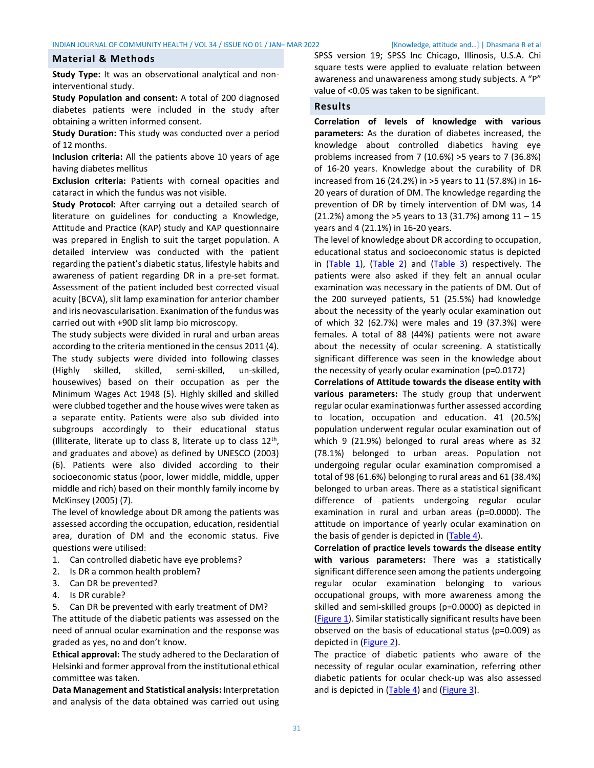#### <span id="page-1-0"></span>**Material & Methods**

**Study Type:** It was an observational analytical and noninterventional study.

**Study Population and consent:** A total of 200 diagnosed diabetes patients were included in the study after obtaining a written informed consent.

**Study Duration:** This study was conducted over a period of 12 months.

**Inclusion criteria:** All the patients above 10 years of age having diabetes mellitus

**Exclusion criteria:** Patients with corneal opacities and cataract in which the fundus was not visible.

**Study Protocol:** After carrying out a detailed search of literature on guidelines for conducting a Knowledge, Attitude and Practice (KAP) study and KAP questionnaire was prepared in English to suit the target population. A detailed interview was conducted with the patient regarding the patient's diabetic status, lifestyle habits and awareness of patient regarding DR in a pre-set format. Assessment of the patient included best corrected visual acuity (BCVA), slit lamp examination for anterior chamber and iris neovascularisation. Exanimation of the fundus was carried out with +90D slit lamp bio microscopy.

The study subjects were divided in rural and urban areas according to the criteria mentioned in the census 2011 (4). The study subjects were divided into following classes (Highly skilled, skilled, semi-skilled, un-skilled, housewives) based on their occupation as per the Minimum Wages Act 1948 (5). Highly skilled and skilled were clubbed together and the house wives were taken as a separate entity. Patients were also sub divided into subgroups accordingly to their educational status (Illiterate, literate up to class 8, literate up to class  $12^{th}$ , and graduates and above) as defined by UNESCO (2003) (6). Patients were also divided according to their socioeconomic status (poor, lower middle, middle, upper middle and rich) based on their monthly family income by McKinsey (2005) (7).

The level of knowledge about DR among the patients was assessed according the occupation, education, residential area, duration of DM and the economic status. Five questions were utilised:

- 1. Can controlled diabetic have eye problems?
- 2. Is DR a common health problem?
- 3. Can DR be prevented?
- 4. Is DR curable?
- 5. Can DR be prevented with early treatment of DM?

The attitude of the diabetic patients was assessed on the need of annual ocular examination and the response was graded as yes, no and don't know.

**Ethical approval:** The study adhered to the Declaration of Helsinki and former approval from the institutional ethical committee was taken.

**Data Management and Statistical analysis:** Interpretation and analysis of the data obtained was carried out using SPSS version 19; SPSS Inc Chicago, Illinosis, U.S.A. Chi square tests were applied to evaluate relation between awareness and unawareness among study subjects. A "P" value of <0.05 was taken to be significant.

### <span id="page-1-1"></span>**Results**

**Correlation of levels of knowledge with various parameters:** As the duration of diabetes increased, the knowledge about controlled diabetics having eye problems increased from 7 (10.6%) >5 years to 7 (36.8%) of 16-20 years. Knowledge about the curability of DR increased from 16 (24.2%) in >5 years to 11 (57.8%) in 16- 20 years of duration of DM. The knowledge regarding the prevention of DR by timely intervention of DM was, 14 (21.2%) among the >5 years to 13 (31.7%) among 11 – 15 years and 4 (21.1%) in 16-20 years.

The level of knowledge about DR according to occupation, educational status and socioeconomic status is depicted in [\(Table 1\)](#page-3-0), [\(Table 2\)](#page-3-1) and [\(Table 3\)](#page-4-0) respectively. The patients were also asked if they felt an annual ocular examination was necessary in the patients of DM. Out of the 200 surveyed patients, 51 (25.5%) had knowledge about the necessity of the yearly ocular examination out of which 32 (62.7%) were males and 19 (37.3%) were females. A total of 88 (44%) patients were not aware about the necessity of ocular screening. A statistically significant difference was seen in the knowledge about the necessity of yearly ocular examination (p=0.0172)

**Correlations of Attitude towards the disease entity with various parameters:** The study group that underwent regular ocular examinationwas further assessed according to location, occupation and education. 41 (20.5%) population underwent regular ocular examination out of which 9 (21.9%) belonged to rural areas where as 32 (78.1%) belonged to urban areas. Population not undergoing regular ocular examination compromised a total of 98 (61.6%) belonging to rural areas and 61 (38.4%) belonged to urban areas. There as a statistical significant difference of patients undergoing regular ocular examination in rural and urban areas (p=0.0000). The attitude on importance of yearly ocular examination on the basis of gender is depicted in  $(Table 4)$ .

**Correlation of practice levels towards the disease entity with various parameters:** There was a statistically significant difference seen among the patients undergoing regular ocular examination belonging to various occupational groups, with more awareness among the skilled and semi-skilled groups (p=0.0000) as depicted in [\(Figure 1\)](#page-5-1). Similar statistically significant results have been observed on the basis of educational status (p=0.009) as depicted in [\(Figure 2\)](#page-5-2).

The practice of diabetic patients who aware of the necessity of regular ocular examination, referring other diabetic patients for ocular check-up was also assessed and is depicted in [\(Table 4\)](#page-4-1) and [\(Figure 3\)](#page-5-3).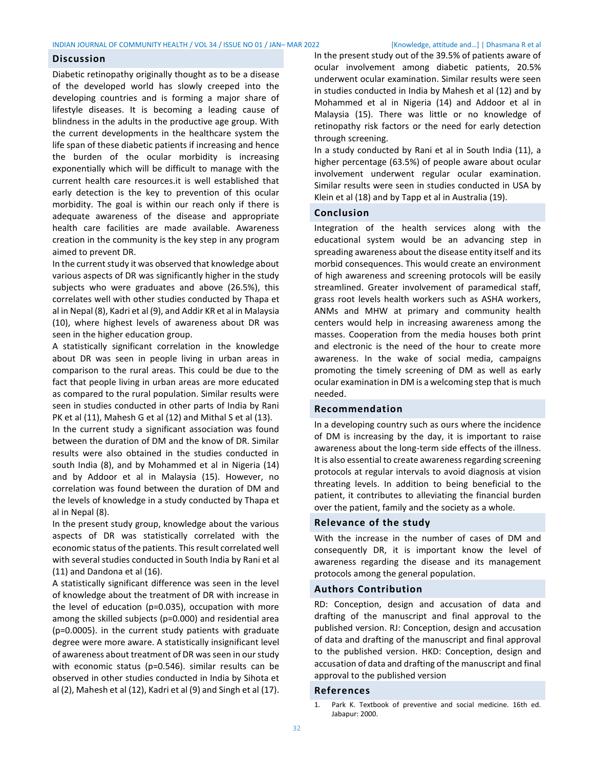#### **Discussion**

Diabetic retinopathy originally thought as to be a disease of the developed world has slowly creeped into the developing countries and is forming a major share of lifestyle diseases. It is becoming a leading cause of blindness in the adults in the productive age group. With the current developments in the healthcare system the life span of these diabetic patients if increasing and hence the burden of the ocular morbidity is increasing exponentially which will be difficult to manage with the current health care resources.it is well established that early detection is the key to prevention of this ocular morbidity. The goal is within our reach only if there is adequate awareness of the disease and appropriate health care facilities are made available. Awareness creation in the community is the key step in any program aimed to prevent DR.

In the current study it was observed that knowledge about various aspects of DR was significantly higher in the study subjects who were graduates and above (26.5%), this correlates well with other studies conducted by Thapa et al in Nepal (8), Kadri et al (9), and Addir KR et al in Malaysia (10), where highest levels of awareness about DR was seen in the higher education group.

A statistically significant correlation in the knowledge about DR was seen in people living in urban areas in comparison to the rural areas. This could be due to the fact that people living in urban areas are more educated as compared to the rural population. Similar results were seen in studies conducted in other parts of India by Rani PK et al (11), Mahesh G et al (12) and Mithal S et al (13).

In the current study a significant association was found between the duration of DM and the know of DR. Similar results were also obtained in the studies conducted in south India (8), and by Mohammed et al in Nigeria (14) and by Addoor et al in Malaysia (15). However, no correlation was found between the duration of DM and the levels of knowledge in a study conducted by Thapa et al in Nepal (8).

In the present study group, knowledge about the various aspects of DR was statistically correlated with the economic status of the patients. This result correlated well with several studies conducted in South India by Rani et al (11) and Dandona et al (16).

A statistically significant difference was seen in the level of knowledge about the treatment of DR with increase in the level of education (p=0.035), occupation with more among the skilled subjects (p=0.000) and residential area (p=0.0005). in the current study patients with graduate degree were more aware. A statistically insignificant level of awareness about treatment of DR was seen in our study with economic status (p=0.546). similar results can be observed in other studies conducted in India by Sihota et al (2), Mahesh et al (12), Kadri et al (9) and Singh et al (17). In the present study out of the 39.5% of patients aware of ocular involvement among diabetic patients, 20.5% underwent ocular examination. Similar results were seen in studies conducted in India by Mahesh et al (12) and by Mohammed et al in Nigeria (14) and Addoor et al in Malaysia (15). There was little or no knowledge of retinopathy risk factors or the need for early detection through screening.

In a study conducted by Rani et al in South India (11), a higher percentage (63.5%) of people aware about ocular involvement underwent regular ocular examination. Similar results were seen in studies conducted in USA by Klein et al (18) and by Tapp et al in Australia (19).

# <span id="page-2-0"></span>**Conclusion**

Integration of the health services along with the educational system would be an advancing step in spreading awareness about the disease entity itself and its morbid consequences. This would create an environment of high awareness and screening protocols will be easily streamlined. Greater involvement of paramedical staff, grass root levels health workers such as ASHA workers, ANMs and MHW at primary and community health centers would help in increasing awareness among the masses. Cooperation from the media houses both print and electronic is the need of the hour to create more awareness. In the wake of social media, campaigns promoting the timely screening of DM as well as early ocular examination in DM is a welcoming step that is much needed.

### **Recommendation**

In a developing country such as ours where the incidence of DM is increasing by the day, it is important to raise awareness about the long-term side effects of the illness. It is also essential to create awareness regarding screening protocols at regular intervals to avoid diagnosis at vision threating levels. In addition to being beneficial to the patient, it contributes to alleviating the financial burden over the patient, family and the society as a whole.

# **Relevance of the study**

With the increase in the number of cases of DM and consequently DR, it is important know the level of awareness regarding the disease and its management protocols among the general population.

# **Authors Contribution**

RD: Conception, design and accusation of data and drafting of the manuscript and final approval to the published version. RJ: Conception, design and accusation of data and drafting of the manuscript and final approval to the published version. HKD: Conception, design and accusation of data and drafting of the manuscript and final approval to the published version

# <span id="page-2-1"></span>**References**

<sup>1.</sup> Park K. Textbook of preventive and social medicine. 16th ed. Jabapur: 2000.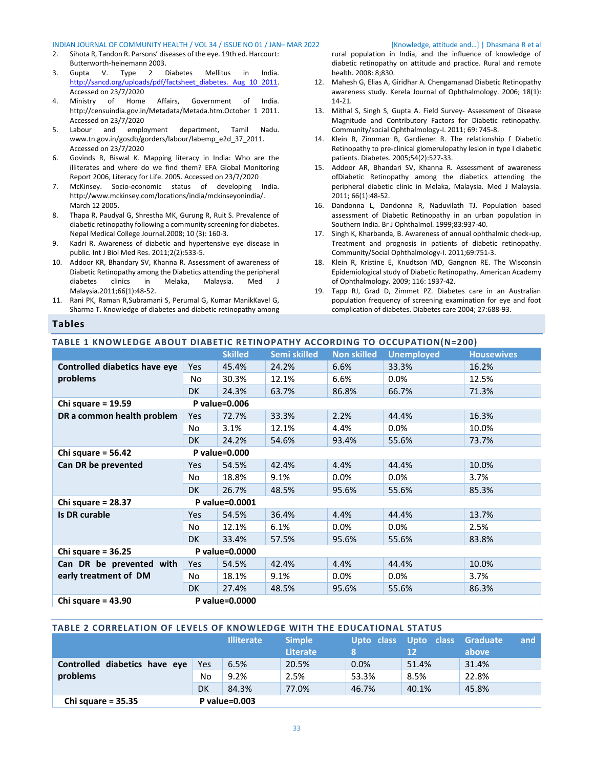#### INDIAN JOURNAL OF COMMUNITY HEALTH / VOL 34 / ISSUE NO 01 / JAN– MAR 2022 [Knowledge, attitude and…] | Dhasmana R et al

- 2. Sihota R, Tandon R. Parsons' diseases of the eye. 19th ed. Harcourt: Butterworth-heinemann 2003.
- 3. Gupta V. Type 2 Diabetes Mellitus in India. [http://sancd.org/uploads/pdf/factsheet\\_diabetes. Aug 10 2011.](http://sancd.org/uploads/pdf/factsheet_diabetes.%20Aug%2010%202011) Accessed on 23/7/2020
- 4. Ministry of Home Affairs, Government of India. http://censuindia.gov.in/Metadata/Metada.htm.October 1 2011. Accessed on 23/7/2020
- 5. Labour and employment department, Tamil Nadu. www.tn.gov.in/gosdb/gorders/labour/labemp\_e2d\_37\_2011. Accessed on 23/7/2020
- 6. Govinds R, Biswal K. Mapping literacy in India: Who are the illiterates and where do we find them? EFA Global Monitoring Report 2006, Literacy for Life. 2005. Accessed on 23/7/2020
- 7. McKinsey. Socio-economic status of developing India. http://www.mckinsey.com/locations/india/mckinseyonindia/. March 12 2005.
- 8. Thapa R, Paudyal G, Shrestha MK, Gurung R, Ruit S. Prevalence of diabetic retinopathy following a community screening for diabetes. Nepal Medical College Journal.2008; 10 (3): 160-3.
- 9. Kadri R. Awareness of diabetic and hypertensive eye disease in public. Int J Biol Med Res. 2011;2(2):533-5.
- 10. Addoor KR, Bhandary SV, Khanna R. Assessment of awareness of Diabetic Retinopathy among the Diabetics attending the peripheral<br>diabetes clinics in Melaka, Malaysia. Med J diabetes clinics in Melaka, Malaysia. Malaysia.2011;66(1):48-52.
- 11. Rani PK, Raman R,Subramani S, Perumal G, Kumar ManikKavel G, Sharma T. Knowledge of diabetes and diabetic retinopathy among

### rural population in India, and the influence of knowledge of diabetic retinopathy on attitude and practice. Rural and remote health. 2008: 8;830.

- 12. Mahesh G, Elias A, Giridhar A. Chengamanad Diabetic Retinopathy awareness study. Kerela Journal of Ophthalmology. 2006; 18(1): 14-21.
- 13. Mithal S, Singh S, Gupta A. Field Survey- Assessment of Disease Magnitude and Contributory Factors for Diabetic retinopathy. Community/social Ophthalmology-I. 2011; 69: 745-8.
- 14. Klein R, Zinnman B, Gardiener R. The relationship f Diabetic Retinopathy to pre-clinical glomerulopathy lesion in type I diabetic patients. Diabetes. 2005;54(2):527-33.
- 15. Addoor AR, Bhandari SV, Khanna R. Assessment of awareness ofDiabetic Retinopathy among the diabetics attending the peripheral diabetic clinic in Melaka, Malaysia. Med J Malaysia. 2011; 66(1):48-52.
- 16. Dandonna L, Dandonna R, Naduvilath TJ. Population based assessment of Diabetic Retinopathy in an urban population in Southern India. Br J Ophthalmol. 1999;83:937-40.
- 17. Singh K, Kharbanda, B. Awareness of annual ophthalmic check-up, Treatment and prognosis in patients of diabetic retinopathy. Community/Social Ophthalmology-I. 2011;69:751-3.
- 18. Klein R, Kristine E, Knudtson MD, Gangnon RE. The Wisconsin Epidemiological study of Diabetic Retinopathy. American Academy of Ophthalmology. 2009; 116: 1937-42.
- 19. Tapp RJ, Grad D, Zimmet PZ. Diabetes care in an Australian population frequency of screening examination for eye and foot complication of diabetes. Diabetes care 2004; 27:688-93.

# **Tables**

# <span id="page-3-0"></span>**TABLE 1 KNOWLEDGE ABOUT DIABETIC RETINOPATHY ACCORDING TO OCCUPATION(N=200)**

|                                       |            | <b>Skilled</b> | Semi skilled | <b>Non skilled</b> | <b>Unemployed</b> | <b>Housewives</b> |  |  |
|---------------------------------------|------------|----------------|--------------|--------------------|-------------------|-------------------|--|--|
| <b>Controlled diabetics have eye</b>  | Yes.       | 45.4%          | 24.2%        | 6.6%               | 33.3%             | 16.2%             |  |  |
| problems                              | No         | 30.3%          | 12.1%        | 6.6%               | $0.0\%$           | 12.5%             |  |  |
|                                       | <b>DK</b>  | 24.3%          | 63.7%        | 86.8%              | 66.7%             | 71.3%             |  |  |
| P value=0.006<br>Chi square = $19.59$ |            |                |              |                    |                   |                   |  |  |
| DR a common health problem            | Yes        | 72.7%          | 33.3%        | 2.2%               | 44.4%             | 16.3%             |  |  |
|                                       | No         | 3.1%           | 12.1%        | 4.4%               | $0.0\%$           | 10.0%             |  |  |
|                                       | <b>DK</b>  | 24.2%          | 54.6%        | 93.4%              | 55.6%             | 73.7%             |  |  |
| Chi square = $56.42$                  |            | P value=0.000  |              |                    |                   |                   |  |  |
| Can DR be prevented                   | Yes        | 54.5%          | 42.4%        | 4.4%               | 44.4%             | 10.0%             |  |  |
|                                       | No         | 18.8%          | 9.1%         | $0.0\%$            | $0.0\%$           | 3.7%              |  |  |
|                                       | <b>DK</b>  | 26.7%          | 48.5%        | 95.6%              | 55.6%             | 85.3%             |  |  |
| Chi square = 28.37                    |            | P value=0.0001 |              |                    |                   |                   |  |  |
| Is DR curable                         | <b>Yes</b> | 54.5%          | 36.4%        | 4.4%               | 44.4%             | 13.7%             |  |  |
|                                       | No         | 12.1%          | 6.1%         | $0.0\%$            | 0.0%              | 2.5%              |  |  |
|                                       | <b>DK</b>  | 33.4%          | 57.5%        | 95.6%              | 55.6%             | 83.8%             |  |  |
| Chi square = $36.25$                  |            | P value=0.0000 |              |                    |                   |                   |  |  |
| Can DR be prevented with              | Yes        | 54.5%          | 42.4%        | 4.4%               | 44.4%             | 10.0%             |  |  |
| early treatment of DM                 | No         | 18.1%          | 9.1%         | $0.0\%$            | $0.0\%$           | 3.7%              |  |  |
|                                       | DK.        | 27.4%          | 48.5%        | 95.6%              | 55.6%             | 86.3%             |  |  |
| Chi square = $43.90$                  |            | P value=0.0000 |              |                    |                   |                   |  |  |

#### <span id="page-3-1"></span>**TABLE 2 CORRELATION OF LEVELS OF KNOWLEDGE WITH THE EDUCATIONAL STATUS**

|                               |     | <b>Illiterate</b> | <b>Simple</b><br><b>Literate</b> | Upto class<br>ß' | Upto class Graduate<br>12 | and<br>above |
|-------------------------------|-----|-------------------|----------------------------------|------------------|---------------------------|--------------|
| Controlled diabetics have eye | Yes | 6.5%              | 20.5%                            | 0.0%             | 51.4%                     | 31.4%        |
| problems                      | No  | 9.2%              | 2.5%                             | 53.3%            | 8.5%                      | 22.8%        |
|                               | DK  | 84.3%             | 77.0%                            | 46.7%            | 40.1%                     | 45.8%        |
| Chi square = $35.35$          |     | P value=0.003     |                                  |                  |                           |              |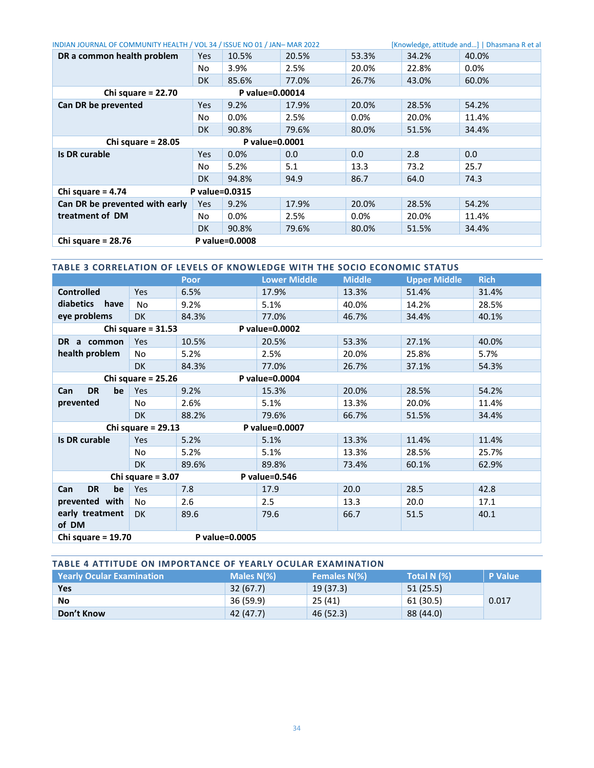| INDIAN JOURNAL OF COMMUNITY HEALTH / VOL 34 / ISSUE NO 01 / JAN-MAR 2022<br>[Knowledge, attitude and]   Dhasmana R et al |     |                |       |         |       |         |  |
|--------------------------------------------------------------------------------------------------------------------------|-----|----------------|-------|---------|-------|---------|--|
| DR a common health problem                                                                                               | Yes | 10.5%          | 20.5% | 53.3%   | 34.2% | 40.0%   |  |
|                                                                                                                          | No  | 3.9%           | 2.5%  | 20.0%   | 22.8% | $0.0\%$ |  |
|                                                                                                                          | DK. | 85.6%          | 77.0% | 26.7%   | 43.0% | 60.0%   |  |
| Chi square = $22.70$<br>P value=0.00014                                                                                  |     |                |       |         |       |         |  |
| Can DR be prevented                                                                                                      | Yes | 9.2%           | 17.9% | 20.0%   | 28.5% | 54.2%   |  |
|                                                                                                                          | No  | 0.0%           | 2.5%  | $0.0\%$ | 20.0% | 11.4%   |  |
|                                                                                                                          | DK. | 90.8%          | 79.6% | 80.0%   | 51.5% | 34.4%   |  |
| Chi square = $28.05$<br>P value=0.0001                                                                                   |     |                |       |         |       |         |  |
| Is DR curable                                                                                                            | Yes | 0.0%           | 0.0   | 0.0     | 2.8   | 0.0     |  |
|                                                                                                                          | No  | 5.2%           | 5.1   | 13.3    | 73.2  | 25.7    |  |
|                                                                                                                          | DK. | 94.8%          | 94.9  | 86.7    | 64.0  | 74.3    |  |
| Chi square = $4.74$<br>P value=0.0315                                                                                    |     |                |       |         |       |         |  |
| Can DR be prevented with early                                                                                           | Yes | 9.2%           | 17.9% | 20.0%   | 28.5% | 54.2%   |  |
| treatment of DM                                                                                                          | No  | 0.0%           | 2.5%  | $0.0\%$ | 20.0% | 11.4%   |  |
|                                                                                                                          | DK. | 90.8%          | 79.6% | 80.0%   | 51.5% | 34.4%   |  |
| Chi square = $28.76$                                                                                                     |     | P value=0.0008 |       |         |       |         |  |

<span id="page-4-0"></span>

| TABLE 3 CORRELATION OF LEVELS OF KNOWLEDGE WITH THE SOCIO ECONOMIC STATUS |                                        |       |                     |               |                     |             |  |  |  |
|---------------------------------------------------------------------------|----------------------------------------|-------|---------------------|---------------|---------------------|-------------|--|--|--|
|                                                                           |                                        | Poor  | <b>Lower Middle</b> | <b>Middle</b> | <b>Upper Middle</b> | <b>Rich</b> |  |  |  |
| <b>Controlled</b>                                                         | <b>Yes</b>                             | 6.5%  | 17.9%               | 13.3%         | 51.4%               | 31.4%       |  |  |  |
| diabetics have                                                            | No                                     | 9.2%  | 5.1%                | 40.0%         | 14.2%               | 28.5%       |  |  |  |
| eye problems                                                              | <b>DK</b>                              | 84.3% | 77.0%               | 46.7%         | 34.4%               | 40.1%       |  |  |  |
| Chi square = $31.53$<br>P value=0.0002                                    |                                        |       |                     |               |                     |             |  |  |  |
| DR a common                                                               | <b>Yes</b>                             | 10.5% | 20.5%               | 53.3%         | 27.1%               | 40.0%       |  |  |  |
| health problem                                                            | No                                     | 5.2%  | 2.5%                | 20.0%         | 25.8%               | 5.7%        |  |  |  |
|                                                                           | <b>DK</b>                              | 84.3% | 77.0%               | 26.7%         | 37.1%               | 54.3%       |  |  |  |
| Chi square = $25.26$<br>P value=0.0004                                    |                                        |       |                     |               |                     |             |  |  |  |
| <b>DR</b><br>be<br>Can                                                    | Yes                                    | 9.2%  | 15.3%               | 20.0%         | 28.5%               | 54.2%       |  |  |  |
| prevented                                                                 | No                                     | 2.6%  | 5.1%                | 13.3%         | 20.0%               | 11.4%       |  |  |  |
|                                                                           | <b>DK</b>                              | 88.2% | 79.6%               | 66.7%         | 51.5%               | 34.4%       |  |  |  |
|                                                                           | Chi square = $29.13$                   |       | P value=0.0007      |               |                     |             |  |  |  |
| <b>Is DR curable</b>                                                      | <b>Yes</b>                             | 5.2%  | 5.1%                | 13.3%         | 11.4%               | 11.4%       |  |  |  |
|                                                                           | No                                     | 5.2%  | 5.1%                | 13.3%         | 28.5%               | 25.7%       |  |  |  |
|                                                                           | <b>DK</b>                              | 89.6% | 89.8%               | 73.4%         | 60.1%               | 62.9%       |  |  |  |
| P value=0.546<br>Chi square $= 3.07$                                      |                                        |       |                     |               |                     |             |  |  |  |
| <b>DR</b><br>be<br>Can                                                    | <b>Yes</b>                             | 7.8   | 17.9                | 20.0          | 28.5                | 42.8        |  |  |  |
| prevented with                                                            | No                                     | 2.6   | 2.5                 | 13.3          | 20.0                | 17.1        |  |  |  |
| early treatment<br>of DM                                                  | <b>DK</b>                              | 89.6  | 79.6                | 66.7          | 51.5                | 40.1        |  |  |  |
|                                                                           | P value=0.0005<br>Chi square = $19.70$ |       |                     |               |                     |             |  |  |  |

<span id="page-4-1"></span>

| <b>TABLE 4 ATTITUDE ON IMPORTANCE OF YEARLY OCULAR EXAMINATION</b>                                              |           |           |           |       |  |  |  |  |
|-----------------------------------------------------------------------------------------------------------------|-----------|-----------|-----------|-------|--|--|--|--|
| <b>Females N(%)</b><br>Total N (%)<br>Males N(%)<br><b>Printing Yearly Ocular Examination</b><br><b>P</b> Value |           |           |           |       |  |  |  |  |
| <b>Yes</b>                                                                                                      | 32(67.7)  | 19 (37.3) | 51(25.5)  |       |  |  |  |  |
| <b>No</b>                                                                                                       | 36(59.9)  | 25(41)    | 61 (30.5) | 0.017 |  |  |  |  |
| Don't Know                                                                                                      | 42 (47.7) | 46 (52.3) | 88 (44.0) |       |  |  |  |  |